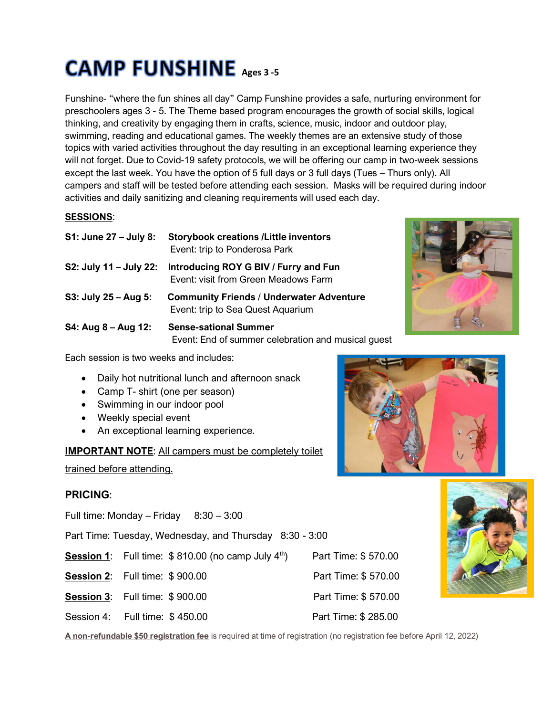# **CAMP FUNSHINE** Ages 3-5

Funshine- "where the fun shines all day" Camp Funshine provides a safe, nurturing environment for preschoolers ages 3 - 5. The Theme based program encourages the growth of social skills, logical thinking, and creativity by engaging them in crafts, science, music, indoor and outdoor play, swimming, reading and educational games. The weekly themes are an extensive study of those topics with varied activities throughout the day resulting in an exceptional learning experience they will not forget. Due to Covid-19 safety protocols, we will be offering our camp in two-week sessions except the last week. You have the option of 5 full days or 3 full days (Tues – Thurs only). All campers and staff will be tested before attending each session. Masks will be required during indoor activities and daily sanitizing and cleaning requirements will used each day.

## **SESSIONS**:

| S1: June 27 - July 8:  | <b>Storybook creations /Little inventors</b><br>Event: trip to Ponderosa Park        |
|------------------------|--------------------------------------------------------------------------------------|
| S2: July 11 – July 22: | Introducing ROY G BIV / Furry and Fun<br>Event: visit from Green Meadows Farm        |
| S3: July 25 – Aug 5:   | <b>Community Friends / Underwater Adventure</b><br>Event: trip to Sea Quest Aquarium |
| $S4: Aug 8 - Aug 12:$  | <b>Sense-sational Summer</b><br>Event: End of summer celebration and musical guest   |



Each session is two weeks and includes:

- Daily hot nutritional lunch and afternoon snack
- Camp T- shirt (one per season)
- Swimming in our indoor pool
- Weekly special event
- An exceptional learning experience.

**IMPORTANT NOTE**: All campers must be completely toilet

trained before attending.

# **PRICING**:

Full time: Monday – Friday  $8:30 - 3:00$ 

Part Time: Tuesday, Wednesday, and Thursday 8:30 - 3:00

- **Session 1:** Full time: \$810.00 (no camp July 4<sup>th</sup>)
- **Session 2:** Full time: \$ 900.00 Part Time: \$ 570.00
- **Session 3:** Full time: \$ 900.00 Part Time: \$ 570.00
- Session 4: Full time: \$450.00 Part Time: \$285.00

**A non-refundable \$50 registration fee** is required at time of registration (no registration fee before April 12, 2022)



Part Time: \$ 570.00